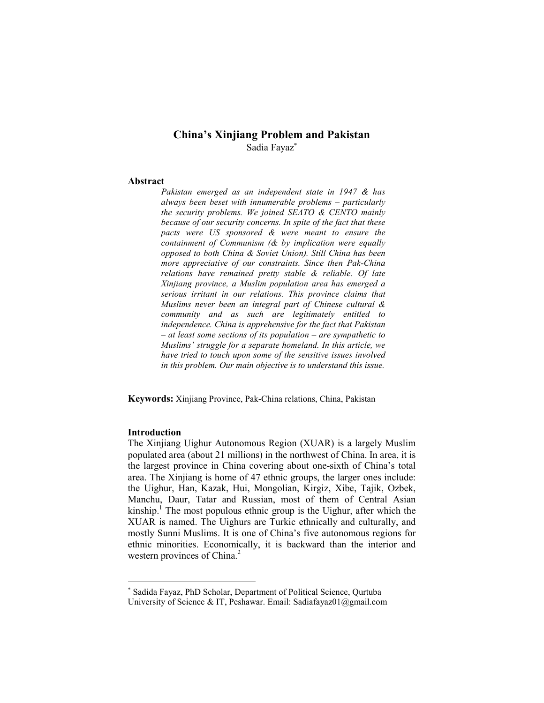# China's Xinjiang Problem and Pakistan Sadia Fayaz<sup>∗</sup>

## Abstract

Pakistan emerged as an independent state in 1947 & has always been beset with innumerable problems – particularly the security problems. We joined SEATO & CENTO mainly because of our security concerns. In spite of the fact that these pacts were US sponsored & were meant to ensure the containment of Communism (& by implication were equally opposed to both China & Soviet Union). Still China has been more appreciative of our constraints. Since then Pak-China relations have remained pretty stable & reliable. Of late Xinjiang province, a Muslim population area has emerged a serious irritant in our relations. This province claims that Muslims never been an integral part of Chinese cultural & community and as such are legitimately entitled to independence. China is apprehensive for the fact that Pakistan – at least some sections of its population – are sympathetic to Muslims' struggle for a separate homeland. In this article, we have tried to touch upon some of the sensitive issues involved in this problem. Our main objective is to understand this issue.

Keywords: Xinjiang Province, Pak-China relations, China, Pakistan

## Introduction

-

The Xinjiang Uighur Autonomous Region (XUAR) is a largely Muslim populated area (about 21 millions) in the northwest of China. In area, it is the largest province in China covering about one-sixth of China's total area. The Xinjiang is home of 47 ethnic groups, the larger ones include: the Uighur, Han, Kazak, Hui, Mongolian, Kirgiz, Xibe, Tajik, Ozbek, Manchu, Daur, Tatar and Russian, most of them of Central Asian kinship.<sup>1</sup> The most populous ethnic group is the Uighur, after which the XUAR is named. The Uighurs are Turkic ethnically and culturally, and mostly Sunni Muslims. It is one of China's five autonomous regions for ethnic minorities. Economically, it is backward than the interior and western provinces of China.<sup>2</sup>

<sup>∗</sup> Sadida Fayaz, PhD Scholar, Department of Political Science, Qurtuba University of Science & IT, Peshawar. Email: Sadiafayaz01@gmail.com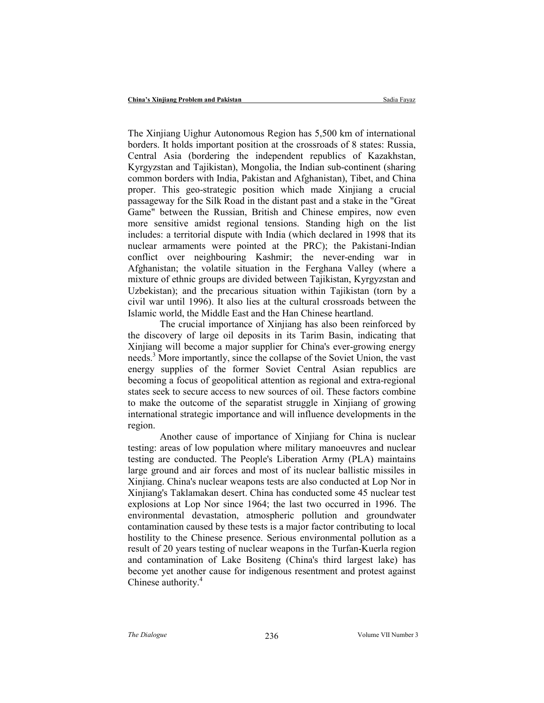The Xinjiang Uighur Autonomous Region has 5,500 km of international borders. It holds important position at the crossroads of 8 states: Russia, Central Asia (bordering the independent republics of Kazakhstan, Kyrgyzstan and Tajikistan), Mongolia, the Indian sub-continent (sharing common borders with India, Pakistan and Afghanistan), Tibet, and China proper. This geo-strategic position which made Xinjiang a crucial passageway for the Silk Road in the distant past and a stake in the "Great Game" between the Russian, British and Chinese empires, now even more sensitive amidst regional tensions. Standing high on the list includes: a territorial dispute with India (which declared in 1998 that its nuclear armaments were pointed at the PRC); the Pakistani-Indian conflict over neighbouring Kashmir; the never-ending war in Afghanistan; the volatile situation in the Ferghana Valley (where a mixture of ethnic groups are divided between Tajikistan, Kyrgyzstan and Uzbekistan); and the precarious situation within Tajikistan (torn by a civil war until 1996). It also lies at the cultural crossroads between the Islamic world, the Middle East and the Han Chinese heartland.

The crucial importance of Xinjiang has also been reinforced by the discovery of large oil deposits in its Tarim Basin, indicating that Xinjiang will become a major supplier for China's ever-growing energy needs.<sup>3</sup> More importantly, since the collapse of the Soviet Union, the vast energy supplies of the former Soviet Central Asian republics are becoming a focus of geopolitical attention as regional and extra-regional states seek to secure access to new sources of oil. These factors combine to make the outcome of the separatist struggle in Xinjiang of growing international strategic importance and will influence developments in the region.

Another cause of importance of Xinjiang for China is nuclear testing: areas of low population where military manoeuvres and nuclear testing are conducted. The People's Liberation Army (PLA) maintains large ground and air forces and most of its nuclear ballistic missiles in Xinjiang. China's nuclear weapons tests are also conducted at Lop Nor in Xinjiang's Taklamakan desert. China has conducted some 45 nuclear test explosions at Lop Nor since 1964; the last two occurred in 1996. The environmental devastation, atmospheric pollution and groundwater contamination caused by these tests is a major factor contributing to local hostility to the Chinese presence. Serious environmental pollution as a result of 20 years testing of nuclear weapons in the Turfan-Kuerla region and contamination of Lake Bositeng (China's third largest lake) has become yet another cause for indigenous resentment and protest against Chinese authority.<sup>4</sup>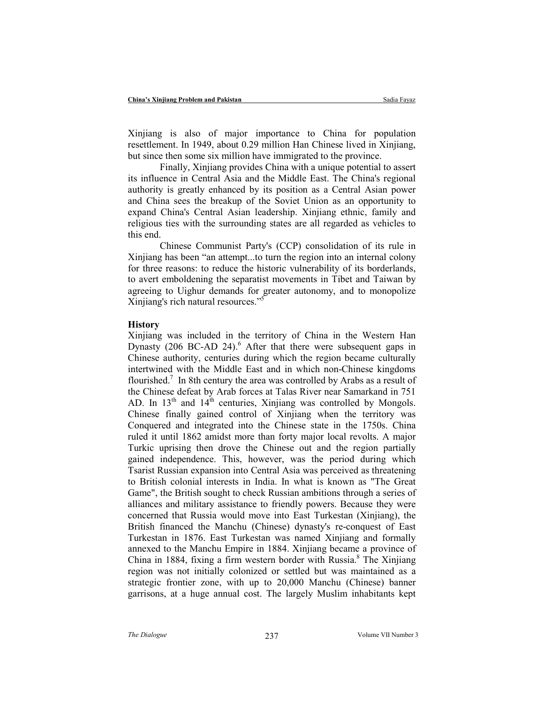Xinjiang is also of major importance to China for population resettlement. In 1949, about 0.29 million Han Chinese lived in Xinjiang, but since then some six million have immigrated to the province.

Finally, Xinjiang provides China with a unique potential to assert its influence in Central Asia and the Middle East. The China's regional authority is greatly enhanced by its position as a Central Asian power and China sees the breakup of the Soviet Union as an opportunity to expand China's Central Asian leadership. Xinjiang ethnic, family and religious ties with the surrounding states are all regarded as vehicles to this end.

Chinese Communist Party's (CCP) consolidation of its rule in Xinjiang has been "an attempt...to turn the region into an internal colony for three reasons: to reduce the historic vulnerability of its borderlands, to avert emboldening the separatist movements in Tibet and Taiwan by agreeing to Uighur demands for greater autonomy, and to monopolize Xinjiang's rich natural resources."<sup>5</sup>

#### **History**

Xinjiang was included in the territory of China in the Western Han Dynasty (206 BC-AD 24). $<sup>6</sup>$  After that there were subsequent gaps in</sup> Chinese authority, centuries during which the region became culturally intertwined with the Middle East and in which non-Chinese kingdoms flourished.<sup>7</sup> In 8th century the area was controlled by Arabs as a result of the Chinese defeat by Arab forces at Talas River near Samarkand in 751 AD. In  $13<sup>th</sup>$  and  $14<sup>th</sup>$  centuries, Xinjiang was controlled by Mongols. Chinese finally gained control of Xinjiang when the territory was Conquered and integrated into the Chinese state in the 1750s. China ruled it until 1862 amidst more than forty major local revolts. A major Turkic uprising then drove the Chinese out and the region partially gained independence. This, however, was the period during which Tsarist Russian expansion into Central Asia was perceived as threatening to British colonial interests in India. In what is known as "The Great Game", the British sought to check Russian ambitions through a series of alliances and military assistance to friendly powers. Because they were concerned that Russia would move into East Turkestan (Xinjiang), the British financed the Manchu (Chinese) dynasty's re-conquest of East Turkestan in 1876. East Turkestan was named Xinjiang and formally annexed to the Manchu Empire in 1884. Xinjiang became a province of China in 1884, fixing a firm western border with Russia.<sup>8</sup> The Xinjiang region was not initially colonized or settled but was maintained as a strategic frontier zone, with up to 20,000 Manchu (Chinese) banner garrisons, at a huge annual cost. The largely Muslim inhabitants kept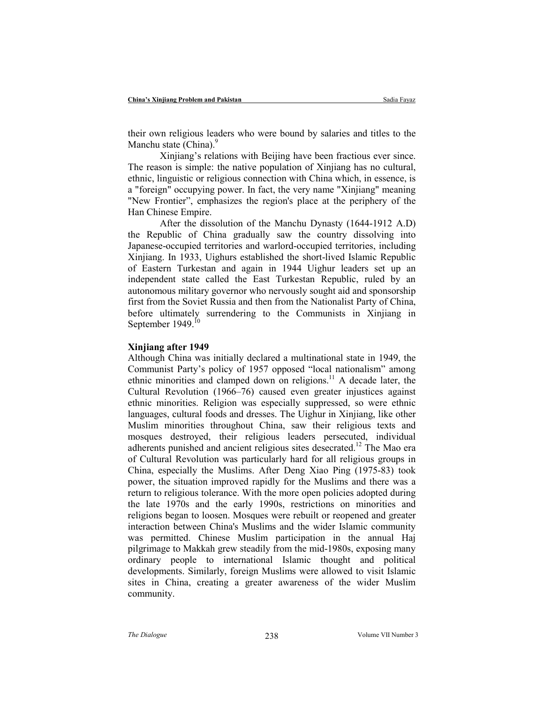their own religious leaders who were bound by salaries and titles to the Manchu state (China). $\frac{9}{2}$ 

Xinjiang's relations with Beijing have been fractious ever since. The reason is simple: the native population of Xinjiang has no cultural, ethnic, linguistic or religious connection with China which, in essence, is a "foreign" occupying power. In fact, the very name "Xinjiang" meaning "New Frontier", emphasizes the region's place at the periphery of the Han Chinese Empire.

After the dissolution of the Manchu Dynasty (1644-1912 A.D) the Republic of China gradually saw the country dissolving into Japanese-occupied territories and warlord-occupied territories, including Xinjiang. In 1933, Uighurs established the short-lived Islamic Republic of Eastern Turkestan and again in 1944 Uighur leaders set up an independent state called the East Turkestan Republic, ruled by an autonomous military governor who nervously sought aid and sponsorship first from the Soviet Russia and then from the Nationalist Party of China, before ultimately surrendering to the Communists in Xinjiang in September 1949.<sup>10</sup>

### Xinjiang after 1949

Although China was initially declared a multinational state in 1949, the Communist Party's policy of 1957 opposed "local nationalism" among ethnic minorities and clamped down on religions.<sup>11</sup> A decade later, the Cultural Revolution (1966–76) caused even greater injustices against ethnic minorities. Religion was especially suppressed, so were ethnic languages, cultural foods and dresses. The Uighur in Xinjiang, like other Muslim minorities throughout China, saw their religious texts and mosques destroyed, their religious leaders persecuted, individual adherents punished and ancient religious sites desecrated.<sup>12</sup> The Mao era of Cultural Revolution was particularly hard for all religious groups in China, especially the Muslims. After Deng Xiao Ping (1975-83) took power, the situation improved rapidly for the Muslims and there was a return to religious tolerance. With the more open policies adopted during the late 1970s and the early 1990s, restrictions on minorities and religions began to loosen. Mosques were rebuilt or reopened and greater interaction between China's Muslims and the wider Islamic community was permitted. Chinese Muslim participation in the annual Haj pilgrimage to Makkah grew steadily from the mid-1980s, exposing many ordinary people to international Islamic thought and political developments. Similarly, foreign Muslims were allowed to visit Islamic sites in China, creating a greater awareness of the wider Muslim community.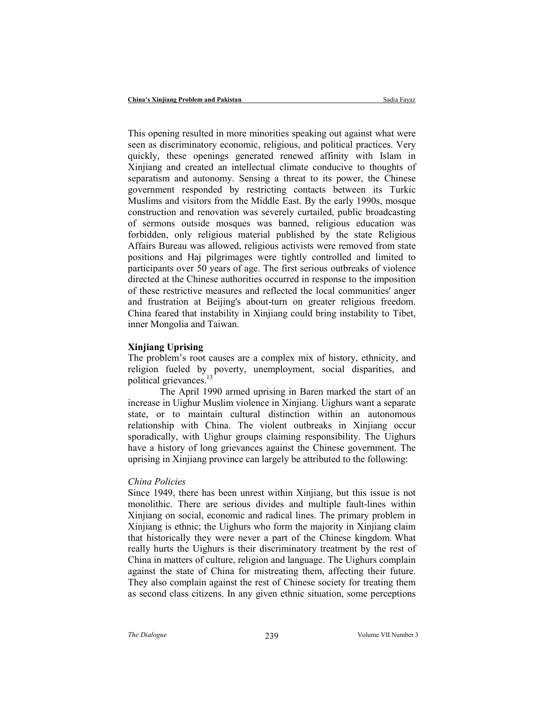This opening resulted in more minorities speaking out against what were seen as discriminatory economic, religious, and political practices. Very quickly, these openings generated renewed affinity with Islam in Xinjiang and created an intellectual climate conducive to thoughts of separatism and autonomy. Sensing a threat to its power, the Chinese government responded by restricting contacts between its Turkic Muslims and visitors from the Middle East. By the early 1990s, mosque construction and renovation was severely curtailed, public broadcasting of sermons outside mosques was banned, religious education was forbidden, only religious material published by the state Religious Affairs Bureau was allowed, religious activists were removed from state positions and Haj pilgrimages were tightly controlled and limited to participants over 50 years of age. The first serious outbreaks of violence directed at the Chinese authorities occurred in response to the imposition of these restrictive measures and reflected the local communities' anger and frustration at Beijing's about-turn on greater religious freedom. China feared that instability in Xinjiang could bring instability to Tibet, inner Mongolia and Taiwan.

## Xinjiang Uprising

The problem's root causes are a complex mix of history, ethnicity, and religion fueled by poverty, unemployment, social disparities, and political grievances.<sup>13</sup>

The April 1990 armed uprising in Baren marked the start of an increase in Uighur Muslim violence in Xinjiang. Uighurs want a separate state, or to maintain cultural distinction within an autonomous relationship with China. The violent outbreaks in Xinjiang occur sporadically, with Uighur groups claiming responsibility. The Uighurs have a history of long grievances against the Chinese government. The uprising in Xinjiang province can largely be attributed to the following:

#### China Policies

Since 1949, there has been unrest within Xinjiang, but this issue is not monolithic. There are serious divides and multiple fault-lines within Xinjiang on social, economic and radical lines. The primary problem in Xinjiang is ethnic; the Uighurs who form the majority in Xinjiang claim that historically they were never a part of the Chinese kingdom. What really hurts the Uighurs is their discriminatory treatment by the rest of China in matters of culture, religion and language. The Uighurs complain against the state of China for mistreating them, affecting their future. They also complain against the rest of Chinese society for treating them as second class citizens. In any given ethnic situation, some perceptions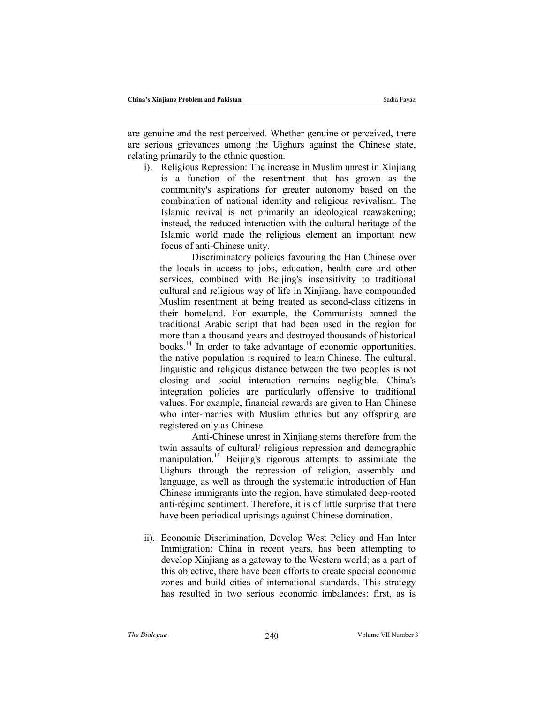are genuine and the rest perceived. Whether genuine or perceived, there are serious grievances among the Uighurs against the Chinese state, relating primarily to the ethnic question.

i). Religious Repression: The increase in Muslim unrest in Xinjiang is a function of the resentment that has grown as the community's aspirations for greater autonomy based on the combination of national identity and religious revivalism. The Islamic revival is not primarily an ideological reawakening; instead, the reduced interaction with the cultural heritage of the Islamic world made the religious element an important new focus of anti-Chinese unity.

Discriminatory policies favouring the Han Chinese over the locals in access to jobs, education, health care and other services, combined with Beijing's insensitivity to traditional cultural and religious way of life in Xinjiang, have compounded Muslim resentment at being treated as second-class citizens in their homeland. For example, the Communists banned the traditional Arabic script that had been used in the region for more than a thousand years and destroyed thousands of historical books. $14$  In order to take advantage of economic opportunities, the native population is required to learn Chinese. The cultural, linguistic and religious distance between the two peoples is not closing and social interaction remains negligible. China's integration policies are particularly offensive to traditional values. For example, financial rewards are given to Han Chinese who inter-marries with Muslim ethnics but any offspring are registered only as Chinese.

Anti-Chinese unrest in Xinjiang stems therefore from the twin assaults of cultural/ religious repression and demographic manipulation.<sup>15</sup> Beijing's rigorous attempts to assimilate the Uighurs through the repression of religion, assembly and language, as well as through the systematic introduction of Han Chinese immigrants into the region, have stimulated deep-rooted anti-régime sentiment. Therefore, it is of little surprise that there have been periodical uprisings against Chinese domination.

ii). Economic Discrimination, Develop West Policy and Han Inter Immigration: China in recent years, has been attempting to develop Xinjiang as a gateway to the Western world; as a part of this objective, there have been efforts to create special economic zones and build cities of international standards. This strategy has resulted in two serious economic imbalances: first, as is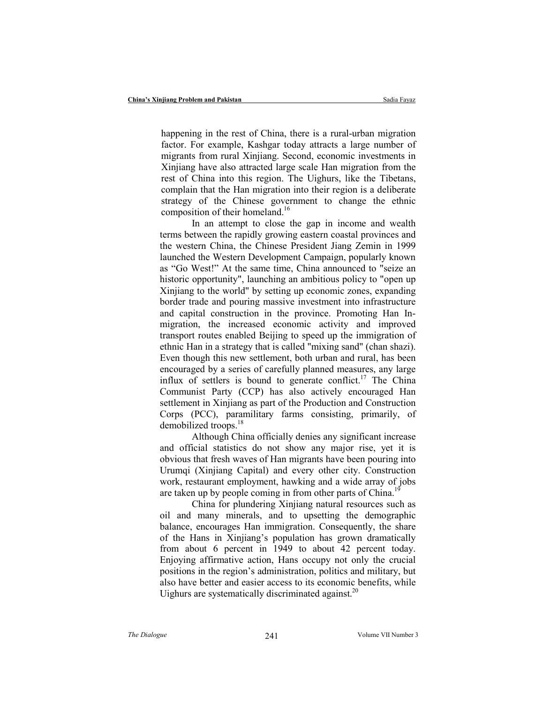happening in the rest of China, there is a rural-urban migration factor. For example, Kashgar today attracts a large number of migrants from rural Xinjiang. Second, economic investments in Xinjiang have also attracted large scale Han migration from the rest of China into this region. The Uighurs, like the Tibetans, complain that the Han migration into their region is a deliberate strategy of the Chinese government to change the ethnic composition of their homeland.<sup>16</sup>

In an attempt to close the gap in income and wealth terms between the rapidly growing eastern coastal provinces and the western China, the Chinese President Jiang Zemin in 1999 launched the Western Development Campaign, popularly known as "Go West!" At the same time, China announced to "seize an historic opportunity", launching an ambitious policy to "open up Xinjiang to the world" by setting up economic zones, expanding border trade and pouring massive investment into infrastructure and capital construction in the province. Promoting Han Inmigration, the increased economic activity and improved transport routes enabled Beijing to speed up the immigration of ethnic Han in a strategy that is called "mixing sand" (chan shazi). Even though this new settlement, both urban and rural, has been encouraged by a series of carefully planned measures, any large influx of settlers is bound to generate conflict.<sup>17</sup> The China Communist Party (CCP) has also actively encouraged Han settlement in Xinjiang as part of the Production and Construction Corps (PCC), paramilitary farms consisting, primarily, of demobilized troops.<sup>18</sup>

Although China officially denies any significant increase and official statistics do not show any major rise, yet it is obvious that fresh waves of Han migrants have been pouring into Urumqi (Xinjiang Capital) and every other city. Construction work, restaurant employment, hawking and a wide array of jobs are taken up by people coming in from other parts of China.<sup>1</sup>

China for plundering Xinjiang natural resources such as oil and many minerals, and to upsetting the demographic balance, encourages Han immigration. Consequently, the share of the Hans in Xinjiang's population has grown dramatically from about 6 percent in 1949 to about 42 percent today. Enjoying affirmative action, Hans occupy not only the crucial positions in the region's administration, politics and military, but also have better and easier access to its economic benefits, while Uighurs are systematically discriminated against.<sup>20</sup>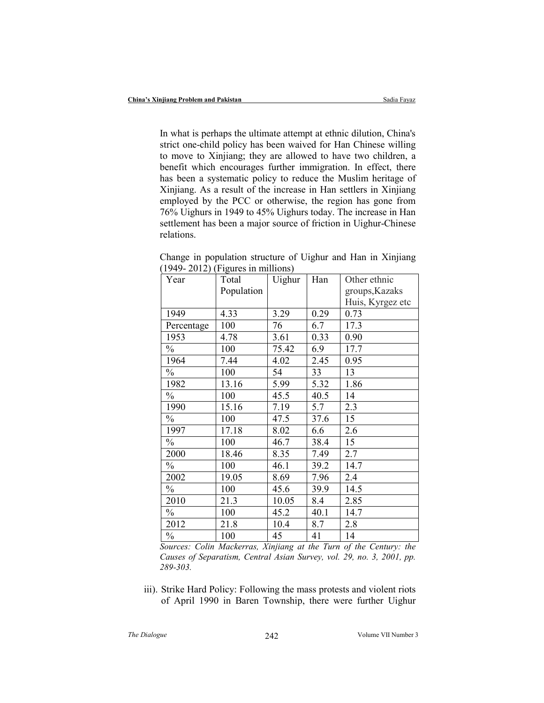In what is perhaps the ultimate attempt at ethnic dilution, China's strict one-child policy has been waived for Han Chinese willing to move to Xinjiang; they are allowed to have two children, a benefit which encourages further immigration. In effect, there has been a systematic policy to reduce the Muslim heritage of Xinjiang. As a result of the increase in Han settlers in Xinjiang employed by the PCC or otherwise, the region has gone from 76% Uighurs in 1949 to 45% Uighurs today. The increase in Han settlement has been a major source of friction in Uighur-Chinese relations.

| Year          | Total      | Uighur | Han  | Other ethnic     |
|---------------|------------|--------|------|------------------|
|               | Population |        |      | groups, Kazaks   |
|               |            |        |      | Huis, Kyrgez etc |
| 1949          | 4.33       | 3.29   | 0.29 | 0.73             |
| Percentage    | 100        | 76     | 6.7  | 17.3             |
| 1953          | 4.78       | 3.61   | 0.33 | 0.90             |
| $\frac{0}{0}$ | 100        | 75.42  | 6.9  | 17.7             |
| 1964          | 7.44       | 4.02   | 2.45 | 0.95             |
| $\frac{0}{0}$ | 100        | 54     | 33   | 13               |
| 1982          | 13.16      | 5.99   | 5.32 | 1.86             |
| $\frac{0}{0}$ | 100        | 45.5   | 40.5 | 14               |
| 1990          | 15.16      | 7.19   | 5.7  | 2.3              |
| $\frac{0}{0}$ | 100        | 47.5   | 37.6 | 15               |
| 1997          | 17.18      | 8.02   | 6.6  | 2.6              |
| $\frac{0}{0}$ | 100        | 46.7   | 38.4 | 15               |
| 2000          | 18.46      | 8.35   | 7.49 | 2.7              |
| $\frac{0}{0}$ | 100        | 46.1   | 39.2 | 14.7             |
| 2002          | 19.05      | 8.69   | 7.96 | 2.4              |
| $\frac{0}{0}$ | 100        | 45.6   | 39.9 | 14.5             |
| 2010          | 21.3       | 10.05  | 8.4  | 2.85             |
| $\frac{0}{0}$ | 100        | 45.2   | 40.1 | 14.7             |
| 2012          | 21.8       | 10.4   | 8.7  | 2.8              |
| $\frac{0}{0}$ | 100        | 45     | 41   | 14               |

Change in population structure of Uighur and Han in Xinjiang (1949- 2012) (Figures in millions)

Sources: Colin Mackerras, Xinjiang at the Turn of the Century: the Causes of Separatism, Central Asian Survey, vol. 29, no. 3, 2001, pp. 289-303.

iii). Strike Hard Policy: Following the mass protests and violent riots of April 1990 in Baren Township, there were further Uighur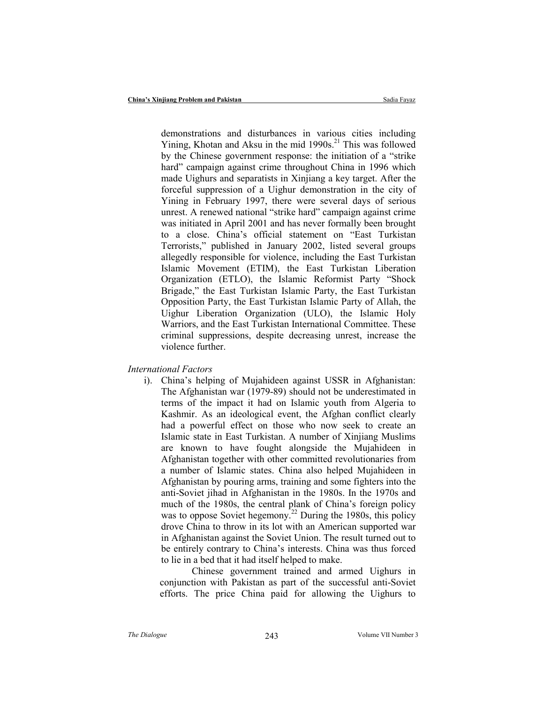demonstrations and disturbances in various cities including Yining, Khotan and Aksu in the mid 1990s.<sup>21</sup> This was followed by the Chinese government response: the initiation of a "strike hard" campaign against crime throughout China in 1996 which made Uighurs and separatists in Xinjiang a key target. After the forceful suppression of a Uighur demonstration in the city of Yining in February 1997, there were several days of serious unrest. A renewed national "strike hard" campaign against crime was initiated in April 2001 and has never formally been brought to a close. China's official statement on "East Turkistan Terrorists," published in January 2002, listed several groups allegedly responsible for violence, including the East Turkistan Islamic Movement (ETIM), the East Turkistan Liberation Organization (ETLO), the Islamic Reformist Party "Shock Brigade," the East Turkistan Islamic Party, the East Turkistan Opposition Party, the East Turkistan Islamic Party of Allah, the Uighur Liberation Organization (ULO), the Islamic Holy Warriors, and the East Turkistan International Committee. These criminal suppressions, despite decreasing unrest, increase the violence further.

#### International Factors

i). China's helping of Mujahideen against USSR in Afghanistan: The Afghanistan war (1979-89) should not be underestimated in terms of the impact it had on Islamic youth from Algeria to Kashmir. As an ideological event, the Afghan conflict clearly had a powerful effect on those who now seek to create an Islamic state in East Turkistan. A number of Xinjiang Muslims are known to have fought alongside the Mujahideen in Afghanistan together with other committed revolutionaries from a number of Islamic states. China also helped Mujahideen in Afghanistan by pouring arms, training and some fighters into the anti-Soviet jihad in Afghanistan in the 1980s. In the 1970s and much of the 1980s, the central plank of China's foreign policy was to oppose Soviet hegemony.<sup>22</sup> During the 1980s, this policy drove China to throw in its lot with an American supported war in Afghanistan against the Soviet Union. The result turned out to be entirely contrary to China's interests. China was thus forced to lie in a bed that it had itself helped to make.

Chinese government trained and armed Uighurs in conjunction with Pakistan as part of the successful anti-Soviet efforts. The price China paid for allowing the Uighurs to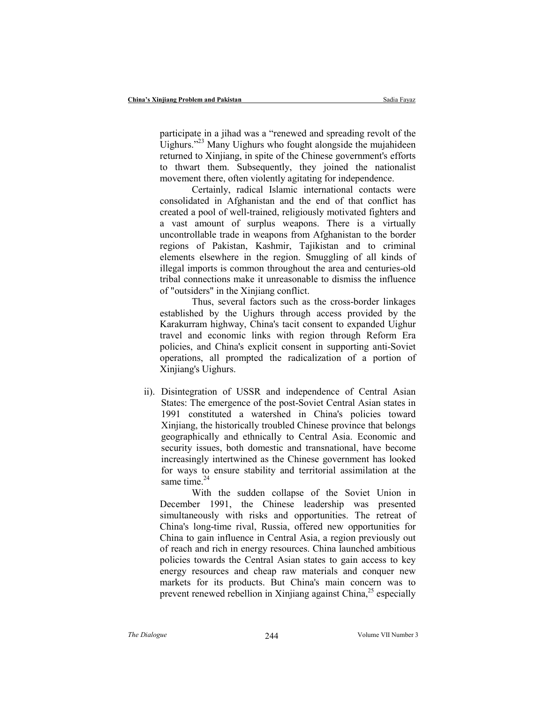participate in a jihad was a "renewed and spreading revolt of the Uighurs."<sup>23</sup> Many Uighurs who fought alongside the mujahideen returned to Xinjiang, in spite of the Chinese government's efforts to thwart them. Subsequently, they joined the nationalist movement there, often violently agitating for independence.

Certainly, radical Islamic international contacts were consolidated in Afghanistan and the end of that conflict has created a pool of well-trained, religiously motivated fighters and a vast amount of surplus weapons. There is a virtually uncontrollable trade in weapons from Afghanistan to the border regions of Pakistan, Kashmir, Tajikistan and to criminal elements elsewhere in the region. Smuggling of all kinds of illegal imports is common throughout the area and centuries-old tribal connections make it unreasonable to dismiss the influence of "outsiders" in the Xinjiang conflict.

Thus, several factors such as the cross-border linkages established by the Uighurs through access provided by the Karakurram highway, China's tacit consent to expanded Uighur travel and economic links with region through Reform Era policies, and China's explicit consent in supporting anti-Soviet operations, all prompted the radicalization of a portion of Xinjiang's Uighurs.

ii). Disintegration of USSR and independence of Central Asian States: The emergence of the post-Soviet Central Asian states in 1991 constituted a watershed in China's policies toward Xinjiang, the historically troubled Chinese province that belongs geographically and ethnically to Central Asia. Economic and security issues, both domestic and transnational, have become increasingly intertwined as the Chinese government has looked for ways to ensure stability and territorial assimilation at the same time.<sup>24</sup>

With the sudden collapse of the Soviet Union in December 1991, the Chinese leadership was presented simultaneously with risks and opportunities. The retreat of China's long-time rival, Russia, offered new opportunities for China to gain influence in Central Asia, a region previously out of reach and rich in energy resources. China launched ambitious policies towards the Central Asian states to gain access to key energy resources and cheap raw materials and conquer new markets for its products. But China's main concern was to prevent renewed rebellion in Xinjiang against China,<sup>25</sup> especially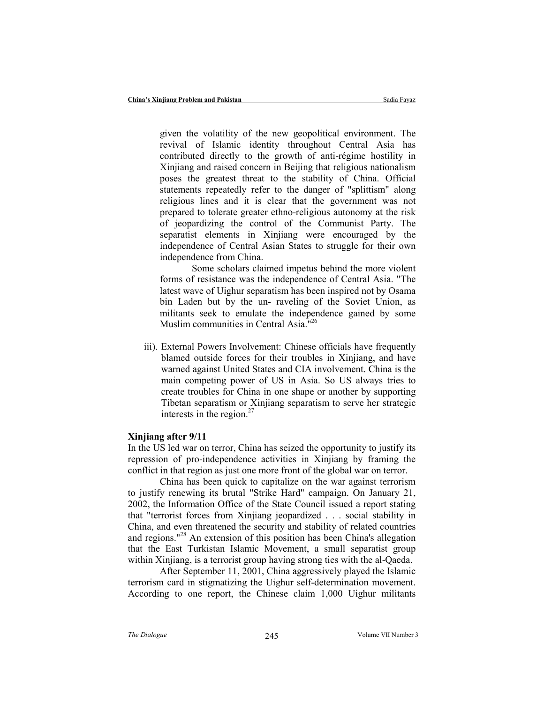given the volatility of the new geopolitical environment. The revival of Islamic identity throughout Central Asia has contributed directly to the growth of anti-régime hostility in Xinjiang and raised concern in Beijing that religious nationalism poses the greatest threat to the stability of China. Official statements repeatedly refer to the danger of "splittism" along religious lines and it is clear that the government was not prepared to tolerate greater ethno-religious autonomy at the risk of jeopardizing the control of the Communist Party. The separatist elements in Xinjiang were encouraged by the independence of Central Asian States to struggle for their own independence from China.

Some scholars claimed impetus behind the more violent forms of resistance was the independence of Central Asia. "The latest wave of Uighur separatism has been inspired not by Osama bin Laden but by the un- raveling of the Soviet Union, as militants seek to emulate the independence gained by some Muslim communities in Central Asia."<sup>26</sup>

iii). External Powers Involvement: Chinese officials have frequently blamed outside forces for their troubles in Xinjiang, and have warned against United States and CIA involvement. China is the main competing power of US in Asia. So US always tries to create troubles for China in one shape or another by supporting Tibetan separatism or Xinjiang separatism to serve her strategic interests in the region. $^{27}$ 

### Xinjiang after 9/11

In the US led war on terror, China has seized the opportunity to justify its repression of pro-independence activities in Xinjiang by framing the conflict in that region as just one more front of the global war on terror.

China has been quick to capitalize on the war against terrorism to justify renewing its brutal "Strike Hard" campaign. On January 21, 2002, the Information Office of the State Council issued a report stating that "terrorist forces from Xinjiang jeopardized . . . social stability in China, and even threatened the security and stability of related countries and regions."<sup>28</sup> An extension of this position has been China's allegation that the East Turkistan Islamic Movement, a small separatist group within Xinjiang, is a terrorist group having strong ties with the al-Qaeda.

After September 11, 2001, China aggressively played the Islamic terrorism card in stigmatizing the Uighur self-determination movement. According to one report, the Chinese claim 1,000 Uighur militants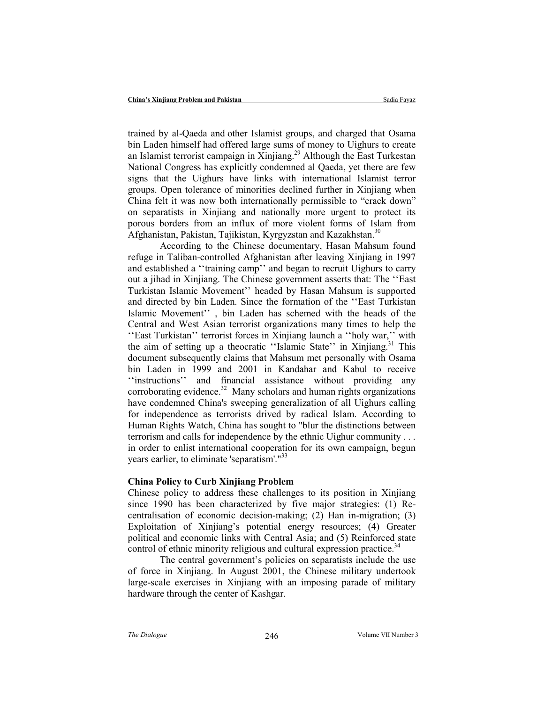trained by al-Qaeda and other Islamist groups, and charged that Osama bin Laden himself had offered large sums of money to Uighurs to create an Islamist terrorist campaign in Xinjiang.<sup>29</sup> Although the East Turkestan National Congress has explicitly condemned al Qaeda, yet there are few signs that the Uighurs have links with international Islamist terror groups. Open tolerance of minorities declined further in Xinjiang when China felt it was now both internationally permissible to "crack down" on separatists in Xinjiang and nationally more urgent to protect its porous borders from an influx of more violent forms of Islam from Afghanistan, Pakistan, Tajikistan, Kyrgyzstan and Kazakhstan.<sup>30</sup>

According to the Chinese documentary, Hasan Mahsum found refuge in Taliban-controlled Afghanistan after leaving Xinjiang in 1997 and established a ''training camp'' and began to recruit Uighurs to carry out a jihad in Xinjiang. The Chinese government asserts that: The ''East Turkistan Islamic Movement'' headed by Hasan Mahsum is supported and directed by bin Laden. Since the formation of the ''East Turkistan Islamic Movement'' , bin Laden has schemed with the heads of the Central and West Asian terrorist organizations many times to help the ''East Turkistan'' terrorist forces in Xinjiang launch a ''holy war,'' with the aim of setting up a theocratic "Islamic State" in Xinjiang.<sup>31</sup> This document subsequently claims that Mahsum met personally with Osama bin Laden in 1999 and 2001 in Kandahar and Kabul to receive ''instructions'' and financial assistance without providing any corroborating evidence. $32$  Many scholars and human rights organizations have condemned China's sweeping generalization of all Uighurs calling for independence as terrorists drived by radical Islam. According to Human Rights Watch, China has sought to "blur the distinctions between terrorism and calls for independence by the ethnic Uighur community . . . in order to enlist international cooperation for its own campaign, begun years earlier, to eliminate 'separatism'."<sup>33</sup>

#### China Policy to Curb Xinjiang Problem

Chinese policy to address these challenges to its position in Xinjiang since 1990 has been characterized by five major strategies: (1) Recentralisation of economic decision-making; (2) Han in-migration; (3) Exploitation of Xinjiang's potential energy resources; (4) Greater political and economic links with Central Asia; and (5) Reinforced state control of ethnic minority religious and cultural expression practice.<sup>34</sup>

The central government's policies on separatists include the use of force in Xinjiang. In August 2001, the Chinese military undertook large-scale exercises in Xinjiang with an imposing parade of military hardware through the center of Kashgar.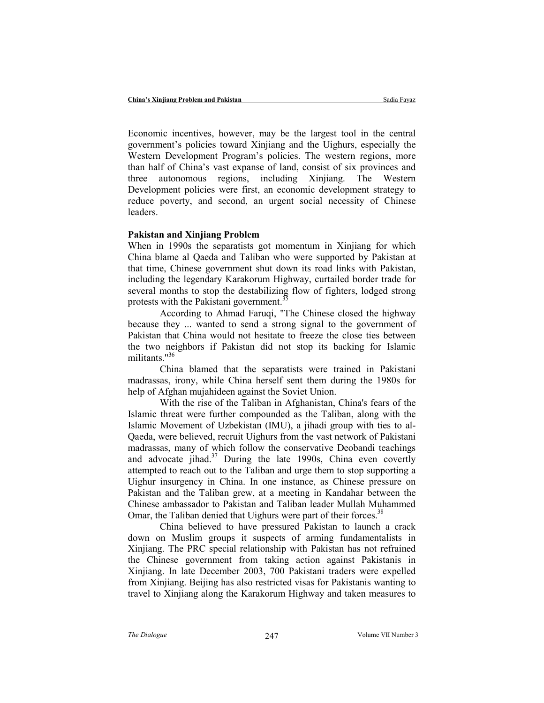Economic incentives, however, may be the largest tool in the central government's policies toward Xinjiang and the Uighurs, especially the Western Development Program's policies. The western regions, more than half of China's vast expanse of land, consist of six provinces and three autonomous regions, including Xinjiang. The Western Development policies were first, an economic development strategy to reduce poverty, and second, an urgent social necessity of Chinese leaders.

## Pakistan and Xinjiang Problem

When in 1990s the separatists got momentum in Xinjiang for which China blame al Qaeda and Taliban who were supported by Pakistan at that time, Chinese government shut down its road links with Pakistan, including the legendary Karakorum Highway, curtailed border trade for several months to stop the destabilizing flow of fighters, lodged strong protests with the Pakistani government.<sup>35</sup>

According to Ahmad Faruqi, "The Chinese closed the highway because they ... wanted to send a strong signal to the government of Pakistan that China would not hesitate to freeze the close ties between the two neighbors if Pakistan did not stop its backing for Islamic militants."<sup>36</sup>

China blamed that the separatists were trained in Pakistani madrassas, irony, while China herself sent them during the 1980s for help of Afghan mujahideen against the Soviet Union.

With the rise of the Taliban in Afghanistan, China's fears of the Islamic threat were further compounded as the Taliban, along with the Islamic Movement of Uzbekistan (IMU), a jihadi group with ties to al-Qaeda, were believed, recruit Uighurs from the vast network of Pakistani madrassas, many of which follow the conservative Deobandi teachings and advocate jihad. $37$  During the late 1990s, China even covertly attempted to reach out to the Taliban and urge them to stop supporting a Uighur insurgency in China. In one instance, as Chinese pressure on Pakistan and the Taliban grew, at a meeting in Kandahar between the Chinese ambassador to Pakistan and Taliban leader Mullah Muhammed Omar, the Taliban denied that Uighurs were part of their forces.<sup>38</sup>

China believed to have pressured Pakistan to launch a crack down on Muslim groups it suspects of arming fundamentalists in Xinjiang. The PRC special relationship with Pakistan has not refrained the Chinese government from taking action against Pakistanis in Xinjiang. In late December 2003, 700 Pakistani traders were expelled from Xinjiang. Beijing has also restricted visas for Pakistanis wanting to travel to Xinjiang along the Karakorum Highway and taken measures to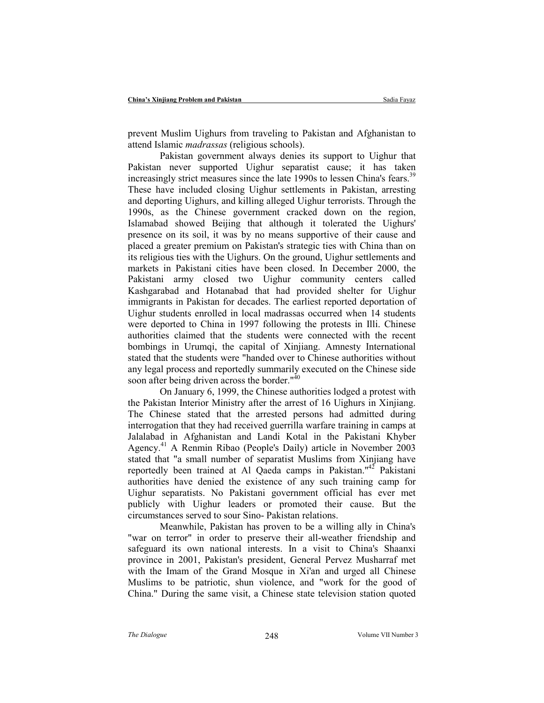prevent Muslim Uighurs from traveling to Pakistan and Afghanistan to attend Islamic madrassas (religious schools).

Pakistan government always denies its support to Uighur that Pakistan never supported Uighur separatist cause; it has taken increasingly strict measures since the late 1990s to lessen China's fears.<sup>39</sup> These have included closing Uighur settlements in Pakistan, arresting and deporting Uighurs, and killing alleged Uighur terrorists. Through the 1990s, as the Chinese government cracked down on the region, Islamabad showed Beijing that although it tolerated the Uighurs' presence on its soil, it was by no means supportive of their cause and placed a greater premium on Pakistan's strategic ties with China than on its religious ties with the Uighurs. On the ground, Uighur settlements and markets in Pakistani cities have been closed. In December 2000, the Pakistani army closed two Uighur community centers called Kashgarabad and Hotanabad that had provided shelter for Uighur immigrants in Pakistan for decades. The earliest reported deportation of Uighur students enrolled in local madrassas occurred when 14 students were deported to China in 1997 following the protests in Illi. Chinese authorities claimed that the students were connected with the recent bombings in Urumqi, the capital of Xinjiang. Amnesty International stated that the students were "handed over to Chinese authorities without any legal process and reportedly summarily executed on the Chinese side soon after being driven across the border."<sup>40</sup>

On January 6, 1999, the Chinese authorities lodged a protest with the Pakistan Interior Ministry after the arrest of 16 Uighurs in Xinjiang. The Chinese stated that the arrested persons had admitted during interrogation that they had received guerrilla warfare training in camps at Jalalabad in Afghanistan and Landi Kotal in the Pakistani Khyber Agency.<sup>41</sup> A Renmin Ribao (People's Daily) article in November 2003 stated that "a small number of separatist Muslims from Xinjiang have reportedly been trained at Al Qaeda camps in Pakistan."<sup>42</sup> Pakistani authorities have denied the existence of any such training camp for Uighur separatists. No Pakistani government official has ever met publicly with Uighur leaders or promoted their cause. But the circumstances served to sour Sino- Pakistan relations.

Meanwhile, Pakistan has proven to be a willing ally in China's "war on terror" in order to preserve their all-weather friendship and safeguard its own national interests. In a visit to China's Shaanxi province in 2001, Pakistan's president, General Pervez Musharraf met with the Imam of the Grand Mosque in Xi'an and urged all Chinese Muslims to be patriotic, shun violence, and "work for the good of China." During the same visit, a Chinese state television station quoted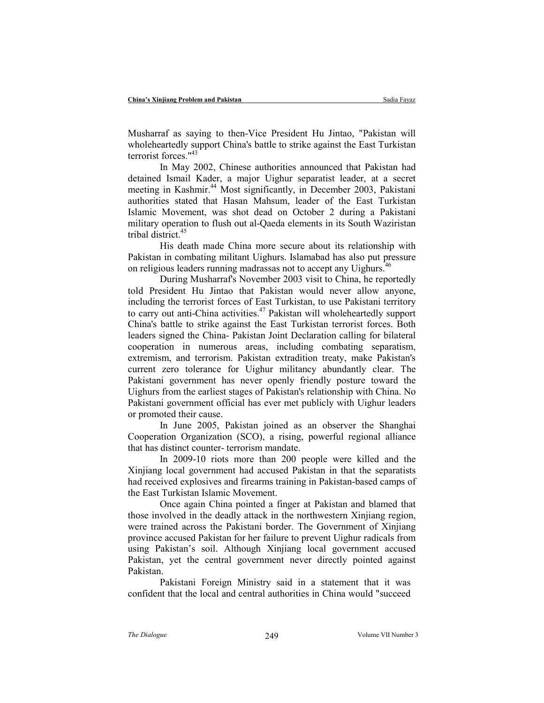Musharraf as saying to then-Vice President Hu Jintao, "Pakistan will wholeheartedly support China's battle to strike against the East Turkistan terrorist forces."<sup>43</sup>

In May 2002, Chinese authorities announced that Pakistan had detained Ismail Kader, a major Uighur separatist leader, at a secret meeting in Kashmir.<sup>44</sup> Most significantly, in December 2003, Pakistani authorities stated that Hasan Mahsum, leader of the East Turkistan Islamic Movement, was shot dead on October 2 during a Pakistani military operation to flush out al-Qaeda elements in its South Waziristan tribal district.<sup>45</sup>

His death made China more secure about its relationship with Pakistan in combating militant Uighurs. Islamabad has also put pressure on religious leaders running madrassas not to accept any Uighurs.<sup>46</sup>

During Musharraf's November 2003 visit to China, he reportedly told President Hu Jintao that Pakistan would never allow anyone, including the terrorist forces of East Turkistan, to use Pakistani territory to carry out anti-China activities.<sup>47</sup> Pakistan will wholeheartedly support China's battle to strike against the East Turkistan terrorist forces. Both leaders signed the China- Pakistan Joint Declaration calling for bilateral cooperation in numerous areas, including combating separatism, extremism, and terrorism. Pakistan extradition treaty, make Pakistan's current zero tolerance for Uighur militancy abundantly clear. The Pakistani government has never openly friendly posture toward the Uighurs from the earliest stages of Pakistan's relationship with China. No Pakistani government official has ever met publicly with Uighur leaders or promoted their cause.

In June 2005, Pakistan joined as an observer the Shanghai Cooperation Organization (SCO), a rising, powerful regional alliance that has distinct counter- terrorism mandate.

In 2009-10 riots more than 200 people were killed and the Xinjiang local government had accused Pakistan in that the separatists had received explosives and firearms training in Pakistan-based camps of the East Turkistan Islamic Movement.

Once again China pointed a finger at Pakistan and blamed that those involved in the deadly attack in the northwestern Xinjiang region, were trained across the Pakistani border. The Government of Xinjiang province accused Pakistan for her failure to prevent Uighur radicals from using Pakistan's soil. Although Xinjiang local government accused Pakistan, yet the central government never directly pointed against Pakistan.

Pakistani Foreign Ministry said in a statement that it was confident that the local and central authorities in China would "succeed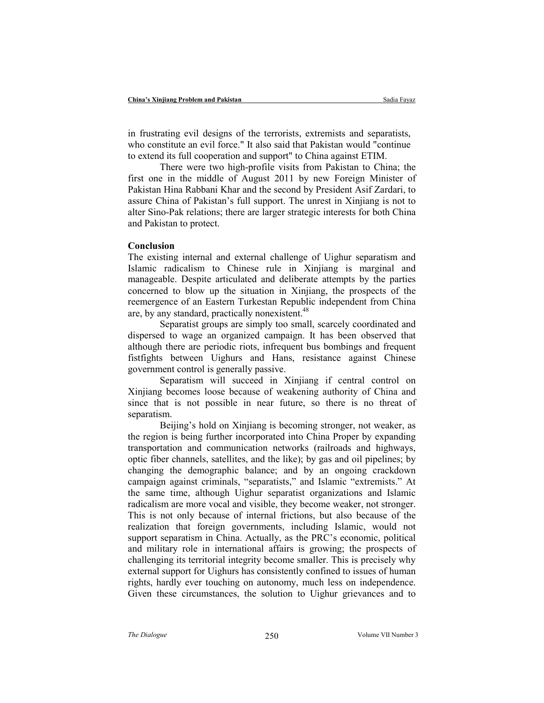in frustrating evil designs of the terrorists, extremists and separatists, who constitute an evil force." It also said that Pakistan would "continue to extend its full cooperation and support" to China against ETIM.

There were two high-profile visits from Pakistan to China; the first one in the middle of August 2011 by new Foreign Minister of Pakistan Hina Rabbani Khar and the second by President Asif Zardari, to assure China of Pakistan's full support. The unrest in Xinjiang is not to alter Sino-Pak relations; there are larger strategic interests for both China and Pakistan to protect.

#### Conclusion

The existing internal and external challenge of Uighur separatism and Islamic radicalism to Chinese rule in Xinjiang is marginal and manageable. Despite articulated and deliberate attempts by the parties concerned to blow up the situation in Xinjiang, the prospects of the reemergence of an Eastern Turkestan Republic independent from China are, by any standard, practically nonexistent.<sup>48</sup>

Separatist groups are simply too small, scarcely coordinated and dispersed to wage an organized campaign. It has been observed that although there are periodic riots, infrequent bus bombings and frequent fistfights between Uighurs and Hans, resistance against Chinese government control is generally passive.

Separatism will succeed in Xinjiang if central control on Xinjiang becomes loose because of weakening authority of China and since that is not possible in near future, so there is no threat of separatism.

Beijing's hold on Xinjiang is becoming stronger, not weaker, as the region is being further incorporated into China Proper by expanding transportation and communication networks (railroads and highways, optic fiber channels, satellites, and the like); by gas and oil pipelines; by changing the demographic balance; and by an ongoing crackdown campaign against criminals, "separatists," and Islamic "extremists." At the same time, although Uighur separatist organizations and Islamic radicalism are more vocal and visible, they become weaker, not stronger. This is not only because of internal frictions, but also because of the realization that foreign governments, including Islamic, would not support separatism in China. Actually, as the PRC's economic, political and military role in international affairs is growing; the prospects of challenging its territorial integrity become smaller. This is precisely why external support for Uighurs has consistently confined to issues of human rights, hardly ever touching on autonomy, much less on independence. Given these circumstances, the solution to Uighur grievances and to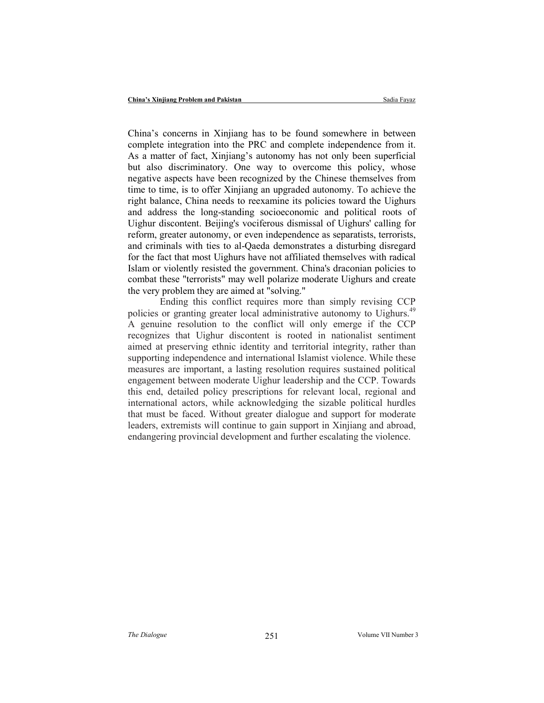China's concerns in Xinjiang has to be found somewhere in between complete integration into the PRC and complete independence from it. As a matter of fact, Xinjiang's autonomy has not only been superficial but also discriminatory. One way to overcome this policy, whose negative aspects have been recognized by the Chinese themselves from time to time, is to offer Xinjiang an upgraded autonomy. To achieve the right balance, China needs to reexamine its policies toward the Uighurs and address the long-standing socioeconomic and political roots of Uighur discontent. Beijing's vociferous dismissal of Uighurs' calling for reform, greater autonomy, or even independence as separatists, terrorists, and criminals with ties to al-Qaeda demonstrates a disturbing disregard for the fact that most Uighurs have not affiliated themselves with radical Islam or violently resisted the government. China's draconian policies to combat these "terrorists" may well polarize moderate Uighurs and create the very problem they are aimed at "solving."

Ending this conflict requires more than simply revising CCP policies or granting greater local administrative autonomy to Uighurs.<sup>49</sup> A genuine resolution to the conflict will only emerge if the CCP recognizes that Uighur discontent is rooted in nationalist sentiment aimed at preserving ethnic identity and territorial integrity, rather than supporting independence and international Islamist violence. While these measures are important, a lasting resolution requires sustained political engagement between moderate Uighur leadership and the CCP. Towards this end, detailed policy prescriptions for relevant local, regional and international actors, while acknowledging the sizable political hurdles that must be faced. Without greater dialogue and support for moderate leaders, extremists will continue to gain support in Xinjiang and abroad, endangering provincial development and further escalating the violence.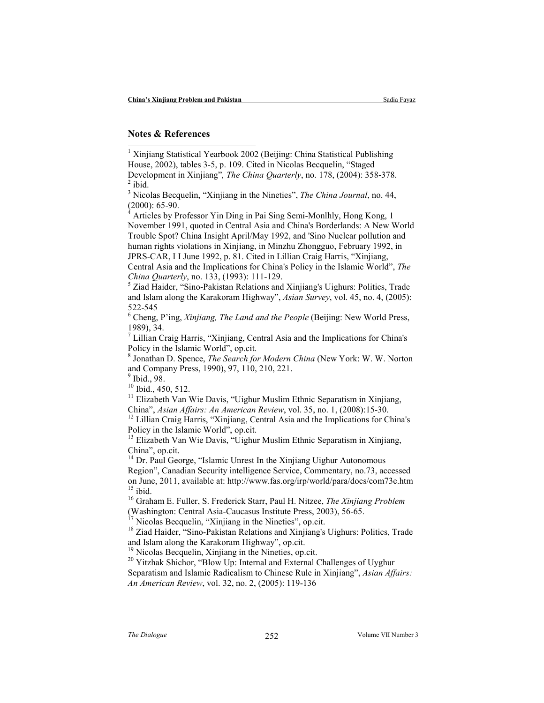## Notes & References

 1 Xinjiang Statistical Yearbook 2002 (Beijing: China Statistical Publishing House, 2002), tables 3-5, p. 109. Cited in Nicolas Becquelin, "Staged Development in Xinjiang", The China Quarterly, no. 178, (2004): 358-378.  $<sup>2</sup>$  ibid.</sup>

<sup>3</sup> Nicolas Becquelin, "Xinjiang in the Nineties", The China Journal, no. 44,  $(2000)$ : 65-90.<br><sup>4</sup> Articles by Pr

 Articles by Professor Yin Ding in Pai Sing Semi-Monlhly, Hong Kong, 1 November 1991, quoted in Central Asia and China's Borderlands: A New World Trouble Spot? China Insight April/May 1992, and 'Sino Nuclear pollution and human rights violations in Xinjiang, in Minzhu Zhongguo, February 1992, in JPRS-CAR, I I June 1992, p. 81. Cited in Lillian Craig Harris, "Xinjiang, Central Asia and the Implications for China's Policy in the Islamic World", The

China Quarterly, no. 133, (1993): 111-129.

5 Ziad Haider, "Sino-Pakistan Relations and Xinjiang's Uighurs: Politics, Trade and Islam along the Karakoram Highway", Asian Survey, vol. 45, no. 4, (2005): 522-545

<sup>6</sup> Cheng, P'ing, Xinjiang, The Land and the People (Beijing: New World Press, 1989), 34.

<sup>7</sup> Lillian Craig Harris, "Xinjiang, Central Asia and the Implications for China's Policy in the Islamic World", op.cit.

<sup>8</sup> Jonathan D. Spence, The Search for Modern China (New York: W. W. Norton and Company Press, 1990), 97, 110, 210, 221.

9 Ibid., 98.

<sup>10</sup> Ibid., 450, 512.

<sup>11</sup> Elizabeth Van Wie Davis, "Uighur Muslim Ethnic Separatism in Xinjiang, China", Asian Affairs: An American Review, vol. 35, no. 1, (2008):15-30.

<sup>12</sup> Lillian Craig Harris, "Xinjiang, Central Asia and the Implications for China's Policy in the Islamic World", op.cit.

<sup>13</sup> Elizabeth Van Wie Davis, "Uighur Muslim Ethnic Separatism in Xinjiang, China", op.cit.

 $14$  Dr. Paul George, "Islamic Unrest In the Xinjiang Uighur Autonomous Region", Canadian Security intelligence Service, Commentary, no.73, accessed on June, 2011, available at: http://www.fas.org/irp/world/para/docs/com73e.htm  $15$  ibid.

<sup>16</sup> Graham E. Fuller, S. Frederick Starr, Paul H. Nitzee, The Xinjiang Problem (Washington: Central Asia-Caucasus Institute Press, 2003), 56-65.

Nicolas Becquelin, "Xinjiang in the Nineties", op.cit.

<sup>18</sup> Ziad Haider, "Sino-Pakistan Relations and Xinjiang's Uighurs: Politics, Trade and Islam along the Karakoram Highway", op.cit.

<sup>19</sup> Nicolas Becquelin, Xinjiang in the Nineties, op.cit.

<sup>20</sup> Yitzhak Shichor, "Blow Up: Internal and External Challenges of Uyghur

Separatism and Islamic Radicalism to Chinese Rule in Xinjiang", Asian Affairs: An American Review, vol. 32, no. 2, (2005): 119-136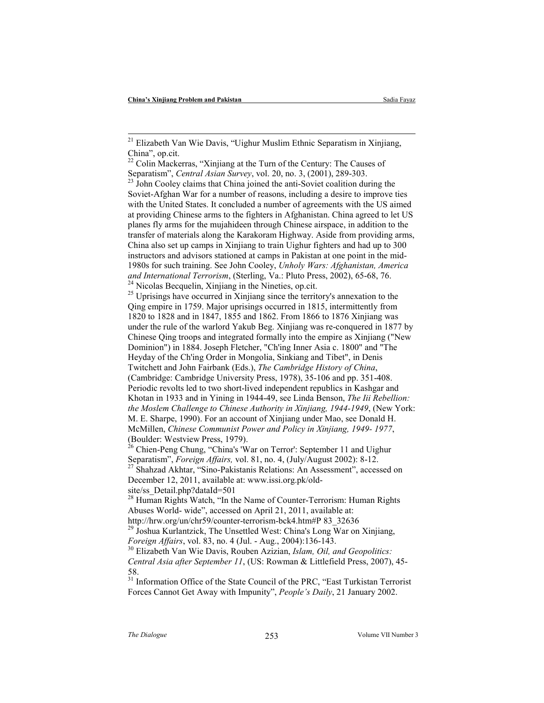-

<sup>25</sup> Uprisings have occurred in Xinjiang since the territory's annexation to the Qing empire in 1759. Major uprisings occurred in 1815, intermittently from 1820 to 1828 and in 1847, 1855 and 1862. From 1866 to 1876 Xinjiang was under the rule of the warlord Yakub Beg. Xinjiang was re-conquered in 1877 by Chinese Qing troops and integrated formally into the empire as Xinjiang ("New Dominion") in 1884. Joseph Fletcher, "Ch'ing Inner Asia c. 1800" and "The Heyday of the Ch'ing Order in Mongolia, Sinkiang and Tibet", in Denis Twitchett and John Fairbank (Eds.), The Cambridge History of China, (Cambridge: Cambridge University Press, 1978), 35-106 and pp. 351-408. Periodic revolts led to two short-lived independent republics in Kashgar and Khotan in 1933 and in Yining in 1944-49, see Linda Benson, The Iii Rebellion: the Moslem Challenge to Chinese Authority in Xinjiang, 1944-1949, (New York: M. E. Sharpe, 1990). For an account of Xinjiang under Mao, see Donald H. McMillen, Chinese Communist Power and Policy in Xinjiang, 1949- 1977, (Boulder: Westview Press, 1979).

 $26$  Chien-Peng Chung, "China's 'War on Terror': September 11 and Uighur Separatism", Foreign Affairs, vol. 81, no. 4, (July/August 2002): 8-12. <sup>7</sup> Shahzad Akhtar, "Sino-Pakistanis Relations: An Assessment", accessed on December 12, 2011, available at: www.issi.org.pk/oldsite/ss\_Detail.php?dataId=501

<sup>28</sup> Human Rights Watch, "In the Name of Counter-Terrorism: Human Rights Abuses World- wide", accessed on April 21, 2011, available at: http://hrw.org/un/chr59/counter-terrorism-bck4.htm#P 83\_32636

 $29$  Joshua Kurlantzick, The Unsettled West: China's Long War on Xinjiang, Foreign Affairs, vol. 83, no. 4 (Jul. - Aug., 2004):136-143.

 $30$  Elizabeth Van Wie Davis, Rouben Azizian, Islam, Oil, and Geopolitics: Central Asia after September 11, (US: Rowman & Littlefield Press, 2007), 45- 58.

<sup>31</sup> Information Office of the State Council of the PRC, "East Turkistan Terrorist" Forces Cannot Get Away with Impunity", People's Daily, 21 January 2002.

<sup>&</sup>lt;sup>21</sup> Elizabeth Van Wie Davis, "Uighur Muslim Ethnic Separatism in Xinjiang, China", op.cit.

<sup>&</sup>lt;sup>22</sup> Colin Mackerras, "Xinjiang at the Turn of the Century: The Causes of Separatism", Central Asian Survey, vol. 20, no. 3, (2001), 289-303.

 $^{23}$  John Cooley claims that China joined the anti-Soviet coalition during the Soviet-Afghan War for a number of reasons, including a desire to improve ties with the United States. It concluded a number of agreements with the US aimed at providing Chinese arms to the fighters in Afghanistan. China agreed to let US planes fly arms for the mujahideen through Chinese airspace, in addition to the transfer of materials along the Karakoram Highway. Aside from providing arms, China also set up camps in Xinjiang to train Uighur fighters and had up to 300 instructors and advisors stationed at camps in Pakistan at one point in the mid-1980s for such training. See John Cooley, Unholy Wars: Afghanistan, America and International Terrorism, (Sterling, Va.: Pluto Press, 2002), 65-68, 76. <sup>24</sup> Nicolas Becquelin, Xinjiang in the Nineties, op.cit.